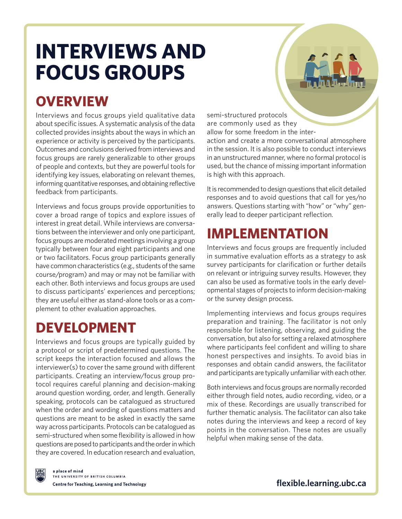# **INTERVIEWS AND FOCUS GROUPS**

### **OVERVIEW**

Interviews and focus groups yield qualitative data about specific issues. A systematic analysis of the data collected provides insights about the ways in which an experience or activity is perceived by the participants. Outcomes and conclusions derived from interviews and focus groups are rarely generalizable to other groups of people and contexts, but they are powerful tools for identifying key issues, elaborating on relevant themes, informing quantitative responses, and obtaining reflective feedback from participants.

Interviews and focus groups provide opportunities to cover a broad range of topics and explore issues of interest in great detail. While interviews are conversations between the interviewer and only one participant, focus groups are moderated meetings involving a group typically between four and eight participants and one or two facilitators. Focus group participants generally have common characteristics (e.g., students of the same course/program) and may or may not be familiar with each other. Both interviews and focus groups are used to discuss participants' experiences and perceptions; they are useful either as stand-alone tools or as a complement to other evaluation approaches.

### **DEVELOPMENT**

Interviews and focus groups are typically guided by a protocol or script of predetermined questions. The script keeps the interaction focused and allows the interviewer(s) to cover the same ground with different participants. Creating an interview/focus group protocol requires careful planning and decision-making around question wording, order, and length. Generally speaking, protocols can be catalogued as structured when the order and wording of questions matters and questions are meant to be asked in exactly the same way across participants. Protocols can be catalogued as semi-structured when some flexibility is allowed in how questions are posed to participants and the order in which they are covered. In education research and evaluation,

semi-structured protocols are commonly used as they allow for some freedom in the inter-

action and create a more conversational atmosphere in the session. It is also possible to conduct interviews in an unstructured manner, where no formal protocol is used, but the chance of missing important information is high with this approach.

It is recommended to design questions that elicit detailed responses and to avoid questions that call for yes/no answers. Questions starting with "how" or "why" generally lead to deeper participant reflection.

# **IMPLEMENTATION**

Interviews and focus groups are frequently included in summative evaluation efforts as a strategy to ask survey participants for clarification or further details on relevant or intriguing survey results. However, they can also be used as formative tools in the early developmental stages of projects to inform decision-making or the survey design process.

Implementing interviews and focus groups requires preparation and training. The facilitator is not only responsible for listening, observing, and guiding the conversation, but also for setting a relaxed atmosphere where participants feel confident and willing to share honest perspectives and insights. To avoid bias in responses and obtain candid answers, the facilitator and participants are typically unfamiliar with each other.

Both interviews and focus groups are normally recorded either through field notes, audio recording, video, or a mix of these. Recordings are usually transcribed for further thematic analysis. The facilitator can also take notes during the interviews and keep a record of key points in the conversation. These notes are usually helpful when making sense of the data.



a place of mind THE UNIVERSITY OF BRITISH COLUMBIA Centre for Teaching, Learning and Technology